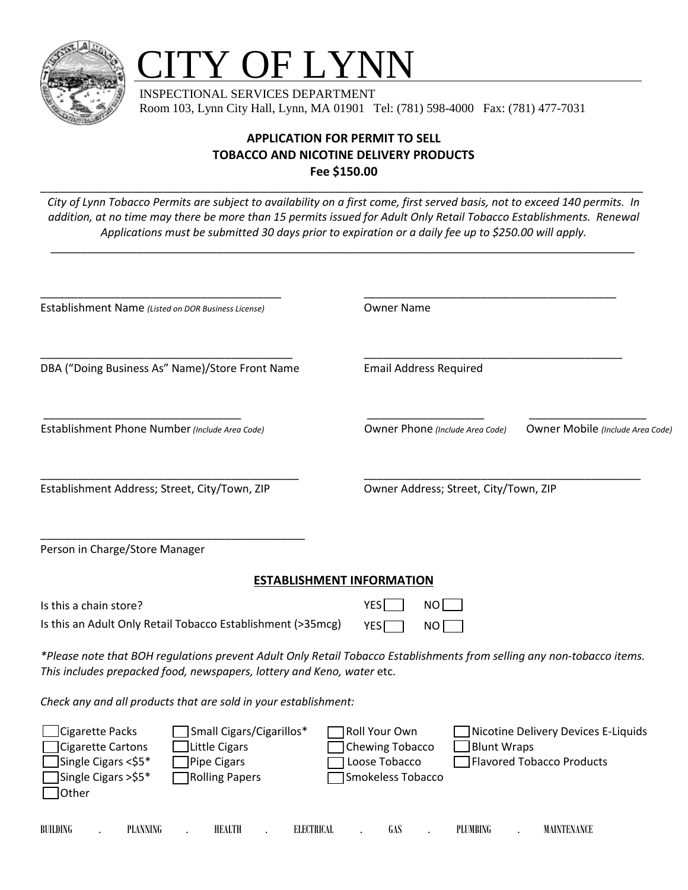

## **TY OF LYNN**

 INSPECTIONAL SERVICES DEPARTMENT Room 103, Lynn City Hall, Lynn, MA 01901 Tel: (781) 598-4000 Fax: (781) 477-7031

## **APPLICATION FOR PERMIT TO SELL TOBACCO AND NICOTINE DELIVERY PRODUCTS Fee \$150.00**

*City of Lynn Tobacco Permits are subject to availability on a first come, first served basis, not to exceed 140 permits. In addition, at no time may there be more than 15 permits issued for Adult Only Retail Tobacco Establishments. Renewal Applications must be submitted 30 days prior to expiration or a daily fee up to \$250.00 will apply.* 

*\_\_\_\_\_\_\_\_\_\_\_\_\_\_\_\_\_\_\_\_\_\_\_\_\_\_\_\_\_\_\_\_\_\_\_\_\_\_\_\_\_\_\_\_\_\_\_\_\_\_\_\_\_\_\_\_\_\_\_\_\_\_\_\_\_\_\_\_\_\_\_\_\_\_\_\_\_\_\_\_\_\_\_\_\_\_\_\_\_\_\_\_\_\_\_* 

\_\_\_\_\_\_\_\_\_\_\_\_\_\_\_\_\_\_\_\_\_\_\_\_\_\_\_\_\_\_\_\_\_\_\_\_\_\_\_\_\_\_\_\_\_\_\_\_\_\_\_\_\_\_\_\_\_\_\_\_\_\_\_\_\_\_\_\_\_\_\_\_\_\_\_\_\_\_\_\_\_\_\_\_\_\_\_\_\_\_\_\_\_\_\_\_\_\_

| Establishment Name (Listed on DOR Business License)                                                                                                                                            | <b>Owner Name</b>                                                                                                                                                       |
|------------------------------------------------------------------------------------------------------------------------------------------------------------------------------------------------|-------------------------------------------------------------------------------------------------------------------------------------------------------------------------|
| DBA ("Doing Business As" Name)/Store Front Name                                                                                                                                                | <b>Email Address Required</b>                                                                                                                                           |
| Establishment Phone Number (Include Area Code)                                                                                                                                                 | Owner Phone (Include Area Code)<br>Owner Mobile (Include Area Code)                                                                                                     |
| Establishment Address; Street, City/Town, ZIP                                                                                                                                                  | Owner Address; Street, City/Town, ZIP                                                                                                                                   |
| Person in Charge/Store Manager                                                                                                                                                                 |                                                                                                                                                                         |
|                                                                                                                                                                                                | <b>ESTABLISHMENT INFORMATION</b>                                                                                                                                        |
| Is this a chain store?                                                                                                                                                                         | <b>YES</b><br><b>NO</b>                                                                                                                                                 |
| Is this an Adult Only Retail Tobacco Establishment (>35mcg)                                                                                                                                    | <b>YES</b><br>NO I                                                                                                                                                      |
| This includes prepacked food, newspapers, lottery and Keno, water etc.                                                                                                                         | *Please note that BOH regulations prevent Adult Only Retail Tobacco Establishments from selling any non-tobacco items.                                                  |
| Check any and all products that are sold in your establishment:                                                                                                                                |                                                                                                                                                                         |
| Cigarette Packs<br>Small Cigars/Cigarillos*<br><b>Cigarette Cartons</b><br>Little Cigars<br>Single Cigars <\$5*<br><b>Pipe Cigars</b><br>Single Cigars >\$5*<br><b>Rolling Papers</b><br>Other | Roll Your Own<br>Nicotine Delivery Devices E-Liquids<br><b>Blunt Wraps</b><br>Chewing Tobacco<br>Loose Tobacco<br><b>Flavored Tobacco Products</b><br>Smokeless Tobacco |
| BUILDING<br>PLANNING<br>HEALTH<br><b>ELECTRICAL</b>                                                                                                                                            | GAS<br>PLUMBING<br>MAINTENANCE                                                                                                                                          |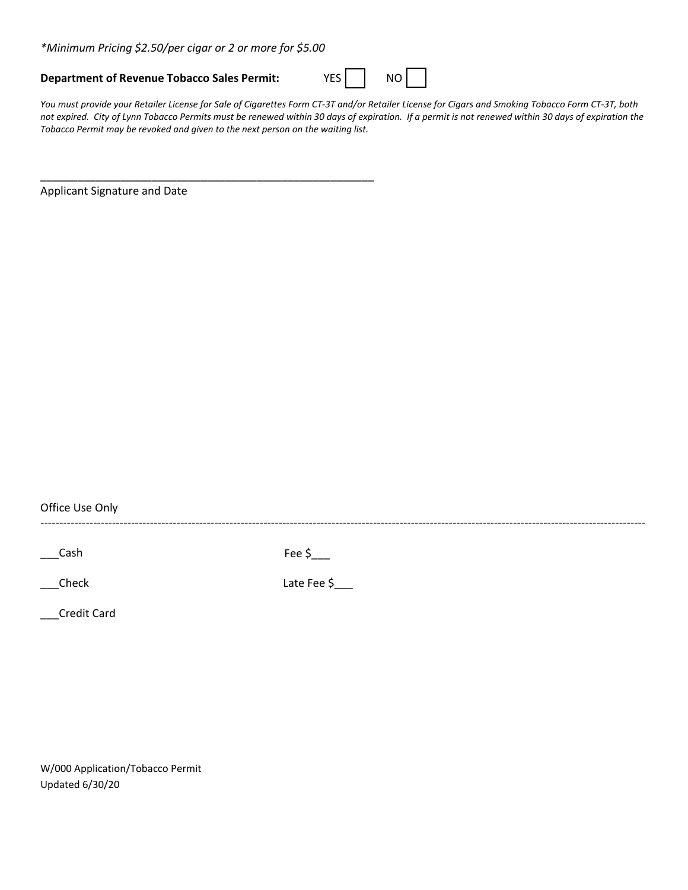*\*Minimum Pricing \$2.50/per cigar or 2 or more for \$5.00*

\_\_\_\_\_\_\_\_\_\_\_\_\_\_\_\_\_\_\_\_\_\_\_\_\_\_\_\_\_\_\_\_\_\_\_\_\_\_\_\_\_\_\_\_\_\_\_\_\_\_\_\_\_\_

## **Department of Revenue Tobacco Sales Permit:** YES | NO

*You must provide your Retailer License for Sale of Cigarettes Form CT-3T and/or Retailer License for Cigars and Smoking Tobacco Form CT-3T, both not expired. City of Lynn Tobacco Permits must be renewed within 30 days of expiration. If a permit is not renewed within 30 days of expiration the Tobacco Permit may be revoked and given to the next person on the waiting list.* 

Applicant Signature and Date

Office Use Only

----------------------------------------------------------------------------------------------------------------------------------------------------------------

 $\Box$ Cash Fee  $\Diamond$ 

\_\_\_Check Late Fee \$\_\_\_

\_\_\_Credit Card

W/000 Application/Tobacco Permit Updated 6/30/20